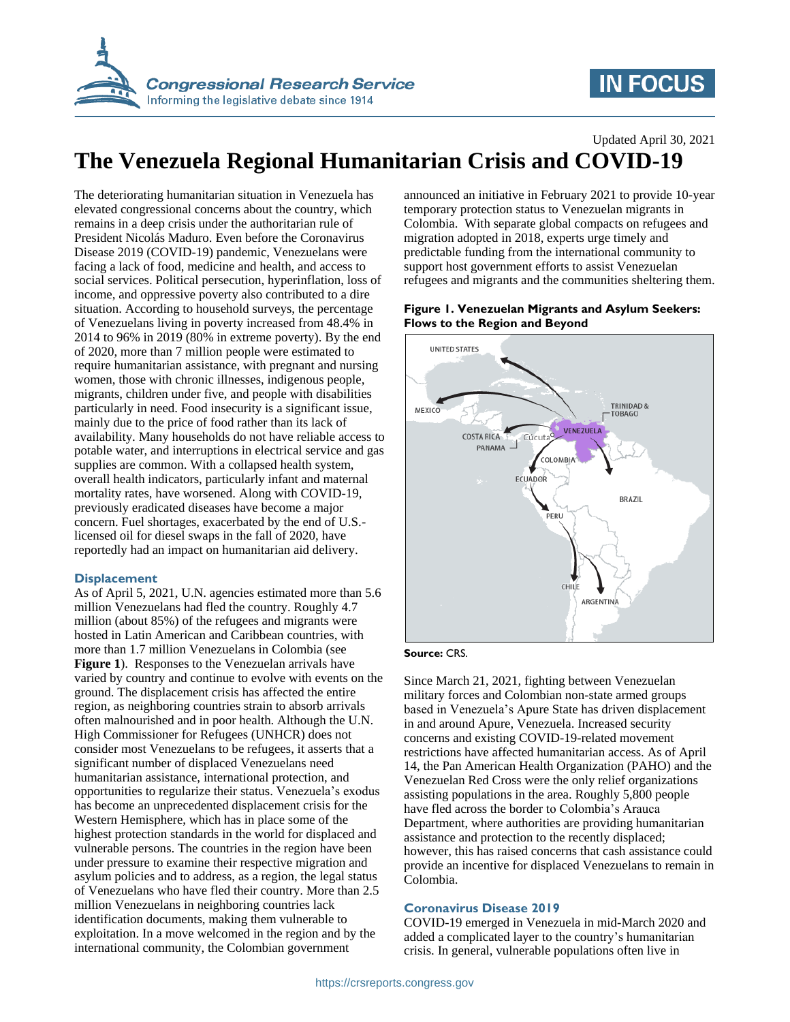

# **IN FOCUS**

Updated April 30, 2021

# **The Venezuela Regional Humanitarian Crisis and COVID-19**

The deteriorating humanitarian situation in Venezuela has elevated congressional concerns about the country, which remains in a deep crisis under the authoritarian rule of President Nicolás Maduro. Even before the Coronavirus Disease 2019 (COVID-19) pandemic, Venezuelans were facing a lack of food, medicine and health, and access to social services. Political persecution, hyperinflation, loss of income, and oppressive poverty also contributed to a dire situation. According to household surveys, the percentage of Venezuelans living in poverty increased from 48.4% in 2014 to 96% in 2019 (80% in extreme poverty). By the end of 2020, more than 7 million people were estimated to require humanitarian assistance, with pregnant and nursing women, those with chronic illnesses, indigenous people, migrants, children under five, and people with disabilities particularly in need. Food insecurity is a significant issue, mainly due to the price of food rather than its lack of availability. Many households do not have reliable access to potable water, and interruptions in electrical service and gas supplies are common. With a collapsed health system, overall health indicators, particularly infant and maternal mortality rates, have worsened. Along with COVID-19, previously eradicated diseases have become a major concern. Fuel shortages, exacerbated by the end of U.S. licensed oil for diesel swaps in the fall of 2020, have reportedly had an impact on humanitarian aid delivery.

# **Displacement**

As of April 5, 2021, U.N. agencies estimated more than 5.6 million Venezuelans had fled the country. Roughly 4.7 million (about 85%) of the refugees and migrants were hosted in Latin American and Caribbean countries, with more than 1.7 million Venezuelans in Colombia (see **[Figure 1](#page-0-0)**). Responses to the Venezuelan arrivals have varied by country and continue to evolve with events on the ground. The displacement crisis has affected the entire region, as neighboring countries strain to absorb arrivals often malnourished and in poor health. Although the U.N. High Commissioner for Refugees (UNHCR) does not consider most Venezuelans to be refugees, it asserts that a significant number of displaced Venezuelans need humanitarian assistance, international protection, and opportunities to regularize their status. Venezuela's exodus has become an unprecedented displacement crisis for the Western Hemisphere, which has in place some of the highest protection standards in the world for displaced and vulnerable persons. The countries in the region have been under pressure to examine their respective migration and asylum policies and to address, as a region, the legal status of Venezuelans who have fled their country. More than 2.5 million Venezuelans in neighboring countries lack identification documents, making them vulnerable to exploitation. In a move welcomed in the region and by the international community, the Colombian government

announced an initiative in February 2021 to provide 10-year temporary protection status to Venezuelan migrants in Colombia. With separate global compacts on refugees and migration adopted in 2018, experts urge timely and predictable funding from the international community to support host government efforts to assist Venezuelan refugees and migrants and the communities sheltering them.

### <span id="page-0-0"></span>**Figure 1. Venezuelan Migrants and Asylum Seekers: Flows to the Region and Beyond**



#### **Source:** CRS.

Since March 21, 2021, fighting between Venezuelan military forces and Colombian non-state armed groups based in Venezuela's Apure State has driven displacement in and around Apure, Venezuela. Increased security concerns and existing COVID-19-related movement restrictions have affected humanitarian access. As of April 14, the Pan American Health Organization (PAHO) and the Venezuelan Red Cross were the only relief organizations assisting populations in the area. Roughly 5,800 people have fled across the border to Colombia's Arauca Department, where authorities are providing humanitarian assistance and protection to the recently displaced; however, this has raised concerns that cash assistance could provide an incentive for displaced Venezuelans to remain in Colombia.

# **Coronavirus Disease 2019**

COVID-19 emerged in Venezuela in mid-March 2020 and added a complicated layer to the country's humanitarian crisis. In general, vulnerable populations often live in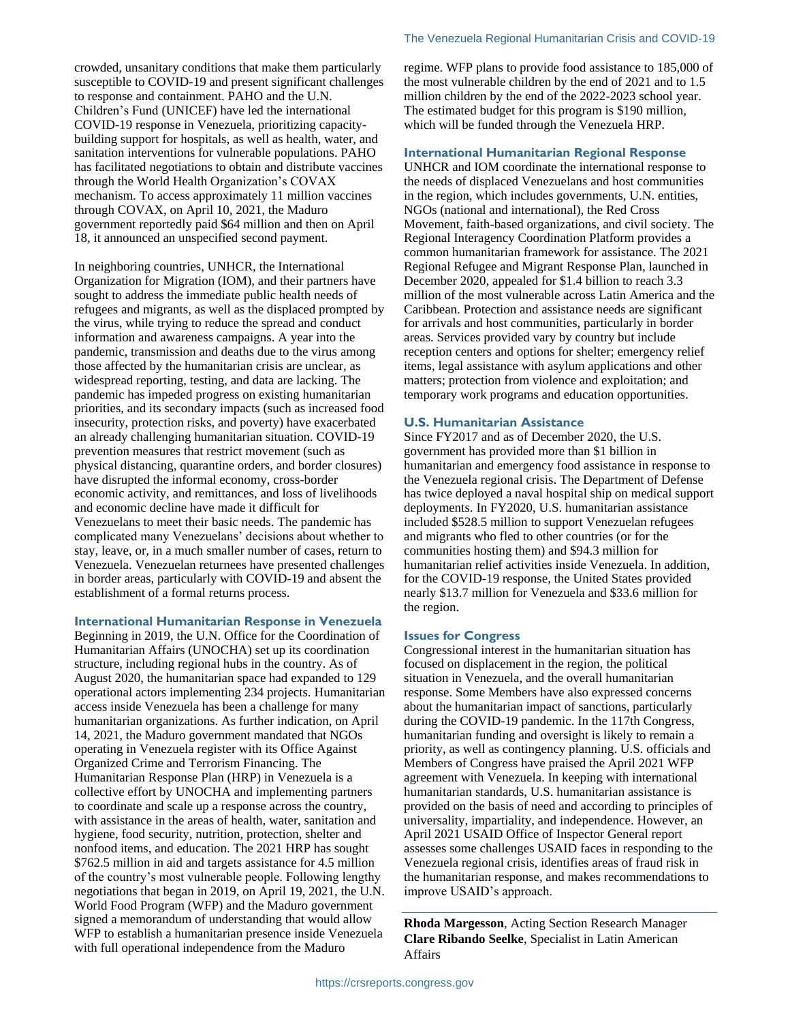crowded, unsanitary conditions that make them particularly susceptible to COVID-19 and present significant challenges to response and containment. PAHO and the U.N. Children's Fund (UNICEF) have led the international COVID-19 response in Venezuela, prioritizing capacitybuilding support for hospitals, as well as health, water, and sanitation interventions for vulnerable populations. PAHO has facilitated negotiations to obtain and distribute vaccines through the World Health Organization's COVAX mechanism. To access approximately 11 million vaccines through COVAX, on April 10, 2021, the Maduro government reportedly paid \$64 million and then on April 18, it announced an unspecified second payment.

In neighboring countries, UNHCR, the International Organization for Migration (IOM), and their partners have sought to address the immediate public health needs of refugees and migrants, as well as the displaced prompted by the virus, while trying to reduce the spread and conduct information and awareness campaigns. A year into the pandemic, transmission and deaths due to the virus among those affected by the humanitarian crisis are unclear, as widespread reporting, testing, and data are lacking. The pandemic has impeded progress on existing humanitarian priorities, and its secondary impacts (such as increased food insecurity, protection risks, and poverty) have exacerbated an already challenging humanitarian situation. COVID-19 prevention measures that restrict movement (such as physical distancing, quarantine orders, and border closures) have disrupted the informal economy, cross-border economic activity, and remittances, and loss of livelihoods and economic decline have made it difficult for Venezuelans to meet their basic needs. The pandemic has complicated many Venezuelans' decisions about whether to stay, leave, or, in a much smaller number of cases, return to Venezuela. Venezuelan returnees have presented challenges in border areas, particularly with COVID-19 and absent the establishment of a formal returns process.

### **International Humanitarian Response in Venezuela**

Beginning in 2019, the U.N. Office for the Coordination of Humanitarian Affairs (UNOCHA) set up its coordination structure, including regional hubs in the country. As of August 2020, the humanitarian space had expanded to 129 operational actors implementing 234 projects. Humanitarian access inside Venezuela has been a challenge for many humanitarian organizations. As further indication, on April 14, 2021, the Maduro government mandated that NGOs operating in Venezuela register with its Office Against Organized Crime and Terrorism Financing. The Humanitarian Response Plan (HRP) in Venezuela is a collective effort by UNOCHA and implementing partners to coordinate and scale up a response across the country, with assistance in the areas of health, water, sanitation and hygiene, food security, nutrition, protection, shelter and nonfood items, and education. The 2021 HRP has sought \$762.5 million in aid and targets assistance for 4.5 million of the country's most vulnerable people. Following lengthy negotiations that began in 2019, on April 19, 2021, the U.N. World Food Program (WFP) and the Maduro government signed a memorandum of understanding that would allow WFP to establish a humanitarian presence inside Venezuela with full operational independence from the Maduro

regime. WFP plans to provide food assistance to 185,000 of the most vulnerable children by the end of 2021 and to 1.5 million children by the end of the 2022-2023 school year. The estimated budget for this program is \$190 million, which will be funded through the Venezuela HRP.

#### **International Humanitarian Regional Response**

UNHCR and IOM coordinate the international response to the needs of displaced Venezuelans and host communities in the region, which includes governments, U.N. entities, NGOs (national and international), the Red Cross Movement, faith-based organizations, and civil society. The Regional Interagency Coordination Platform provides a common humanitarian framework for assistance. The 2021 Regional Refugee and Migrant Response Plan, launched in December 2020, appealed for \$1.4 billion to reach 3.3 million of the most vulnerable across Latin America and the Caribbean. Protection and assistance needs are significant for arrivals and host communities, particularly in border areas. Services provided vary by country but include reception centers and options for shelter; emergency relief items, legal assistance with asylum applications and other matters; protection from violence and exploitation; and temporary work programs and education opportunities.

#### **U.S. Humanitarian Assistance**

Since FY2017 and as of December 2020, the U.S. government has provided more than \$1 billion in humanitarian and emergency food assistance in response to the Venezuela regional crisis. The Department of Defense has twice deployed a naval hospital ship on medical support deployments. In FY2020, U.S. humanitarian assistance included \$528.5 million to support Venezuelan refugees and migrants who fled to other countries (or for the communities hosting them) and \$94.3 million for humanitarian relief activities inside Venezuela. In addition, for the COVID-19 response, the United States provided nearly \$13.7 million for Venezuela and \$33.6 million for the region.

#### **Issues for Congress**

Congressional interest in the humanitarian situation has focused on displacement in the region, the political situation in Venezuela, and the overall humanitarian response. Some Members have also expressed concerns about the humanitarian impact of sanctions, particularly during the COVID-19 pandemic. In the 117th Congress, humanitarian funding and oversight is likely to remain a priority, as well as contingency planning. U.S. officials and Members of Congress have praised the April 2021 WFP agreement with Venezuela. In keeping with international humanitarian standards, U.S. humanitarian assistance is provided on the basis of need and according to principles of universality, impartiality, and independence. However, an April 2021 USAID Office of Inspector General report assesses some challenges USAID faces in responding to the Venezuela regional crisis, identifies areas of fraud risk in the humanitarian response, and makes recommendations to improve USAID's approach.

**Rhoda Margesson**, Acting Section Research Manager **Clare Ribando Seelke**, Specialist in Latin American Affairs